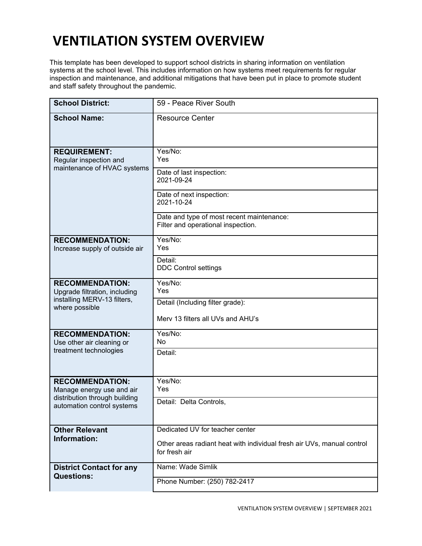## **VENTILATION SYSTEM OVERVIEW**

This template has been developed to support school districts in sharing information on ventilation systems at the school level. This includes information on how systems meet requirements for regular inspection and maintenance, and additional mitigations that have been put in place to promote student and staff safety throughout the pandemic.

| <b>School District:</b>                                                                                            | 59 - Peace River South                                                                  |
|--------------------------------------------------------------------------------------------------------------------|-----------------------------------------------------------------------------------------|
| <b>School Name:</b>                                                                                                | <b>Resource Center</b>                                                                  |
| <b>REQUIREMENT:</b><br>Regular inspection and<br>maintenance of HVAC systems                                       | Yes/No:<br>Yes                                                                          |
|                                                                                                                    | Date of last inspection:<br>2021-09-24                                                  |
|                                                                                                                    | Date of next inspection:<br>2021-10-24                                                  |
|                                                                                                                    | Date and type of most recent maintenance:<br>Filter and operational inspection.         |
| <b>RECOMMENDATION:</b><br>Increase supply of outside air                                                           | Yes/No:<br>Yes                                                                          |
|                                                                                                                    | Detail:<br><b>DDC Control settings</b>                                                  |
| <b>RECOMMENDATION:</b><br>Upgrade filtration, including<br>installing MERV-13 filters,<br>where possible           | Yes/No:<br>Yes                                                                          |
|                                                                                                                    | Detail (Including filter grade):<br>Merv 13 filters all UVs and AHU's                   |
|                                                                                                                    |                                                                                         |
| <b>RECOMMENDATION:</b><br>Use other air cleaning or                                                                | Yes/No:<br>No                                                                           |
| treatment technologies                                                                                             | Detail:                                                                                 |
| <b>RECOMMENDATION:</b><br>Manage energy use and air<br>distribution through building<br>automation control systems | Yes/No:<br>Yes                                                                          |
|                                                                                                                    | Detail: Delta Controls,                                                                 |
| <b>Other Relevant</b>                                                                                              | Dedicated UV for teacher center                                                         |
| Information:                                                                                                       | Other areas radiant heat with individual fresh air UVs, manual control<br>for fresh air |
| <b>District Contact for any</b>                                                                                    | Name: Wade Simlik                                                                       |
| <b>Questions:</b>                                                                                                  | Phone Number: (250) 782-2417                                                            |